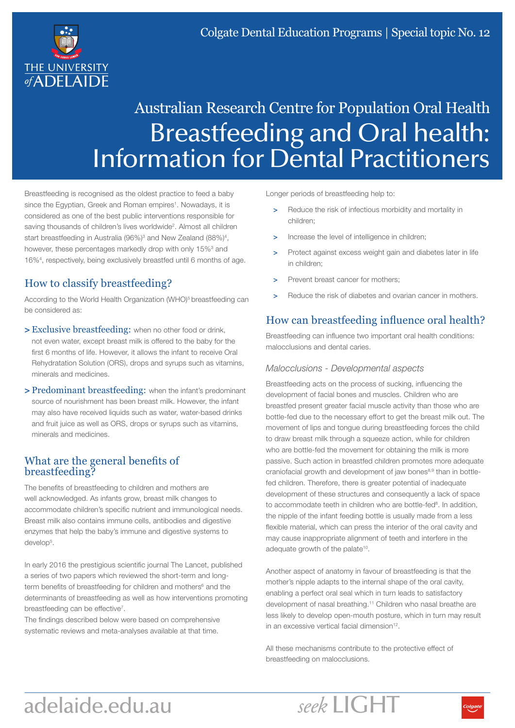

# Australian Research Centre for Population Oral Health Breastfeeding and Oral health: Information for Dental Practitioners

Breastfeeding is recognised as the oldest practice to feed a baby since the Egyptian, Greek and Roman empires<sup>1</sup>. Nowadays, it is considered as one of the best public interventions responsible for saving thousands of children's lives worldwide<sup>2</sup>. Almost all children start breastfeeding in Australia (96%)<sup>3</sup> and New Zealand (88%)<sup>4</sup>, however, these percentages markedly drop with only 15%<sup>3</sup> and 16%4 , respectively, being exclusively breastfed until 6 months of age.

# How to classify breastfeeding?

According to the World Health Organization (WHO)<sup>5</sup> breastfeeding can be considered as:

- > Exclusive breastfeeding: when no other food or drink, not even water, except breast milk is offered to the baby for the first 6 months of life. However, it allows the infant to receive Oral Rehydratation Solution (ORS), drops and syrups such as vitamins, minerals and medicines.
- > Predominant breastfeeding: when the infant's predominant source of nourishment has been breast milk. However, the infant may also have received liquids such as water, water-based drinks and fruit juice as well as ORS, drops or syrups such as vitamins, minerals and medicines.

#### What are the general benefits of breastfeeding?

The benefits of breastfeeding to children and mothers are well acknowledged. As infants grow, breast milk changes to accommodate children's specific nutrient and immunological needs. Breast milk also contains immune cells, antibodies and digestive enzymes that help the baby's immune and digestive systems to develop<sup>5</sup>.

In early 2016 the prestigious scientific journal The Lancet, published a series of two papers which reviewed the short-term and longterm benefits of breastfeeding for children and mothers<sup>6</sup> and the determinants of breastfeeding as well as how interventions promoting breastfeeding can be effective<sup>7</sup>.

The findings described below were based on comprehensive systematic reviews and meta-analyses available at that time.

Longer periods of breastfeeding help to:

- Reduce the risk of infectious morbidity and mortality in children;
- Increase the level of intelligence in children;
- Protect against excess weight gain and diabetes later in life in children;
- Prevent breast cancer for mothers;
- Reduce the risk of diabetes and ovarian cancer in mothers.

## How can breastfeeding influence oral health?

Breastfeeding can influence two important oral health conditions: malocclusions and dental caries.

#### *Malocclusions - Developmental aspects*

Breastfeeding acts on the process of sucking, influencing the development of facial bones and muscles. Children who are breastfed present greater facial muscle activity than those who are bottle-fed due to the necessary effort to get the breast milk out. The movement of lips and tongue during breastfeeding forces the child to draw breast milk through a squeeze action, while for children who are bottle-fed the movement for obtaining the milk is more passive. Such action in breastfed children promotes more adequate craniofacial growth and development of jaw bones<sup>8,9</sup> than in bottlefed children. Therefore, there is greater potential of inadequate development of these structures and consequently a lack of space to accommodate teeth in children who are bottle-fed<sup>8</sup>. In addition, the nipple of the infant feeding bottle is usually made from a less flexible material, which can press the interior of the oral cavity and may cause inappropriate alignment of teeth and interfere in the adequate growth of the palate<sup>10</sup>.

Another aspect of anatomy in favour of breastfeeding is that the mother's nipple adapts to the internal shape of the oral cavity, enabling a perfect oral seal which in turn leads to satisfactory development of nasal breathing.<sup>11</sup> Children who nasal breathe are less likely to develop open-mouth posture, which in turn may result in an excessive vertical facial dimension<sup>12</sup>.

All these mechanisms contribute to the protective effect of breastfeeding on malocclusions.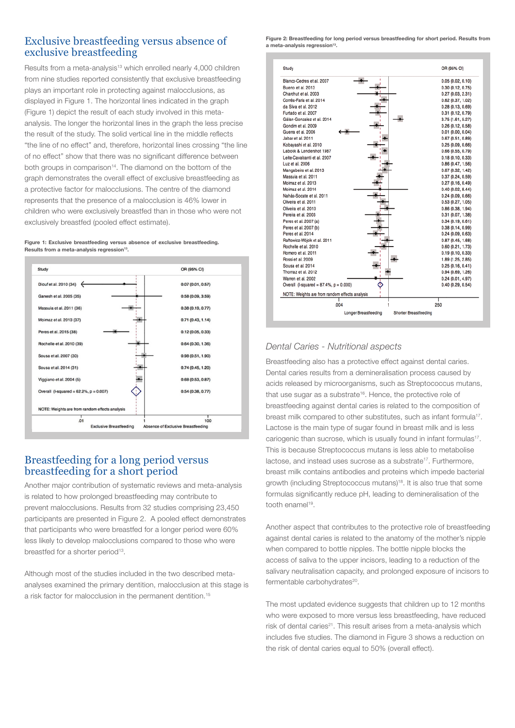#### Exclusive breastfeeding versus absence of exclusive breastfeeding

Results from a meta-analysis<sup>13</sup> which enrolled nearly 4,000 children from nine studies reported consistently that exclusive breastfeeding plays an important role in protecting against malocclusions, as displayed in Figure 1. The horizontal lines indicated in the graph (Figure 1) depict the result of each study involved in this metaanalysis. The longer the horizontal lines in the graph the less precise the result of the study. The solid vertical line in the middle reflects "the line of no effect" and, therefore, horizontal lines crossing "the line of no effect" show that there was no significant difference between both groups in comparison<sup>14</sup>. The diamond on the bottom of the graph demonstrates the overall effect of exclusive breastfeeding as a protective factor for malocclusions. The centre of the diamond represents that the presence of a malocclusion is 46% lower in children who were exclusively breastfed than in those who were not exclusively breastfed (pooled effect estimate).

Figure 1: Exclusive breastfeeding versus absence of exclusive breastfeeding. Results from a meta-analysis regression<sup>13</sup>.



### Breastfeeding for a long period versus breastfeeding for a short period

Another major contribution of systematic reviews and meta-analysis is related to how prolonged breastfeeding may contribute to prevent malocclusions. Results from 32 studies comprising 23,450 participants are presented in Figure 2. A pooled effect demonstrates that participants who were breastfed for a longer period were 60% less likely to develop malocclusions compared to those who were breastfed for a shorter period<sup>13</sup>.

Although most of the studies included in the two described metaanalyses examined the primary dentition, malocclusion at this stage is a risk factor for malocclusion in the permanent dentition.15

Figure 2: Breastfeeding for long period versus breastfeeding for short period. Results from a meta-analysis regression<sup>13</sup>.



#### *Dental Caries - Nutritional aspects*

Breastfeeding also has a protective effect against dental caries. Dental caries results from a demineralisation process caused by acids released by microorganisms, such as Streptococcus mutans, that use sugar as a substrate<sup>16</sup>. Hence, the protective role of breastfeeding against dental caries is related to the composition of breast milk compared to other substitutes, such as infant formula<sup>17</sup>. Lactose is the main type of sugar found in breast milk and is less cariogenic than sucrose, which is usually found in infant formulas<sup>17</sup>. This is because Streptococcus mutans is less able to metabolise lactose, and instead uses sucrose as a substrate<sup>17</sup>. Furthermore, breast milk contains antibodies and proteins which impede bacterial growth (including Streptococcus mutans)<sup>18</sup>. It is also true that some formulas significantly reduce pH, leading to demineralisation of the tooth enamel<sup>19</sup>.

Another aspect that contributes to the protective role of breastfeeding against dental caries is related to the anatomy of the mother's nipple when compared to bottle nipples. The bottle nipple blocks the access of saliva to the upper incisors, leading to a reduction of the salivary neutralisation capacity, and prolonged exposure of incisors to fermentable carbohydrates<sup>20</sup>.

The most updated evidence suggests that children up to 12 months who were exposed to more versus less breastfeeding, have reduced risk of dental caries<sup>21</sup>. This result arises from a meta-analysis which includes five studies. The diamond in Figure 3 shows a reduction on the risk of dental caries equal to 50% (overall effect).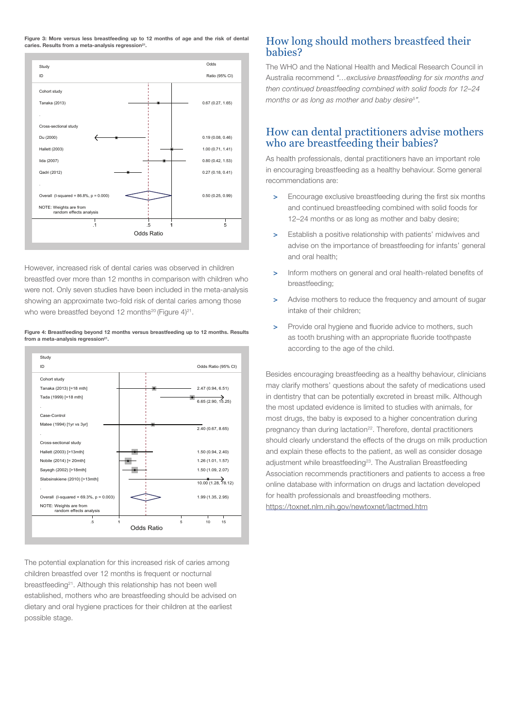Figure 3: More versus less breastfeeding up to 12 months of age and the risk of dental caries. Results from a meta-analysis regression<sup>21</sup>.



However, increased risk of dental caries was observed in children breastfed over more than 12 months in comparison with children who were not. Only seven studies have been included in the meta-analysis showing an approximate two-fold risk of dental caries among those who were breastfed beyond 12 months<sup>20</sup> (Figure  $4$ )<sup>21</sup>.

Figure 4: Breastfeeding beyond 12 months versus breastfeeding up to 12 months. Results from a meta-analysis regression<sup>21</sup>.



The potential explanation for this increased risk of caries among children breastfed over 12 months is frequent or nocturnal breastfeeding<sup>21</sup>. Although this relationship has not been well established, mothers who are breastfeeding should be advised on dietary and oral hygiene practices for their children at the earliest possible stage.

#### How long should mothers breastfeed their babies?

The WHO and the National Health and Medical Research Council in Australia recommend *"…exclusive breastfeeding for six months and then continued breastfeeding combined with solid foods for 12–24 months or as long as mother and baby desire5".*

#### How can dental practitioners advise mothers who are breastfeeding their babies?

As health professionals, dental practitioners have an important role in encouraging breastfeeding as a healthy behaviour. Some general recommendations are:

- > Encourage exclusive breastfeeding during the first six months and continued breastfeeding combined with solid foods for 12–24 months or as long as mother and baby desire;
- > Establish a positive relationship with patients' midwives and advise on the importance of breastfeeding for infants' general and oral health;
- > Inform mothers on general and oral health-related benefits of breastfeeding;
- > Advise mothers to reduce the frequency and amount of sugar intake of their children;
- > Provide oral hygiene and fluoride advice to mothers, such as tooth brushing with an appropriate fluoride toothpaste according to the age of the child.

Besides encouraging breastfeeding as a healthy behaviour, clinicians may clarify mothers' questions about the safety of medications used in dentistry that can be potentially excreted in breast milk. Although the most updated evidence is limited to studies with animals, for most drugs, the baby is exposed to a higher concentration during pregnancy than during lactation<sup>22</sup>. Therefore, dental practitioners should clearly understand the effects of the drugs on milk production and explain these effects to the patient, as well as consider dosage adjustment while breastfeeding<sup>23</sup>. The Australian Breastfeeding Association recommends practitioners and patients to access a free online database with information on drugs and lactation developed for health professionals and breastfeeding mothers. https://toxnet.nlm.nih.gov/newtoxnet/lactmed.htm